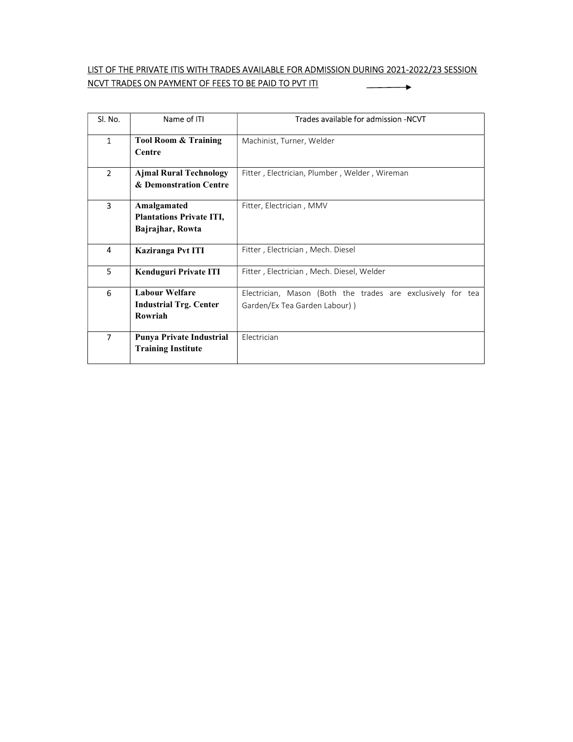## LIST OF THE PRIVATE ITIS WITH TRADES AVAILABLE FOR ADMISSION DURING 2021-2022/23 SESSION NCVT TRADES ON PAYMENT OF FEES TO BE PAID TO PVT ITI  $\overbrace{\hspace{4.5cm}}^{ }$

| Sl. No.        | Name of ITI                                                        | Trades available for admission -NCVT                                                         |
|----------------|--------------------------------------------------------------------|----------------------------------------------------------------------------------------------|
| $\mathbf{1}$   | <b>Tool Room &amp; Training</b><br>Centre                          | Machinist, Turner, Welder                                                                    |
| $\overline{2}$ | <b>Ajmal Rural Technology</b><br>& Demonstration Centre            | Fitter, Electrician, Plumber, Welder, Wireman                                                |
| 3              | Amalgamated<br><b>Plantations Private ITI,</b><br>Bajrajhar, Rowta | Fitter, Electrician, MMV                                                                     |
| 4              | <b>Kaziranga Pvt ITI</b>                                           | Fitter, Electrician, Mech. Diesel                                                            |
| 5.             | <b>Kenduguri Private ITI</b>                                       | Fitter, Electrician, Mech. Diesel, Welder                                                    |
| 6              | <b>Labour Welfare</b><br><b>Industrial Trg. Center</b><br>Rowriah  | Electrician, Mason (Both the trades are exclusively for tea<br>Garden/Ex Tea Garden Labour)) |
| $\overline{ }$ | Punya Private Industrial<br><b>Training Institute</b>              | Electrician                                                                                  |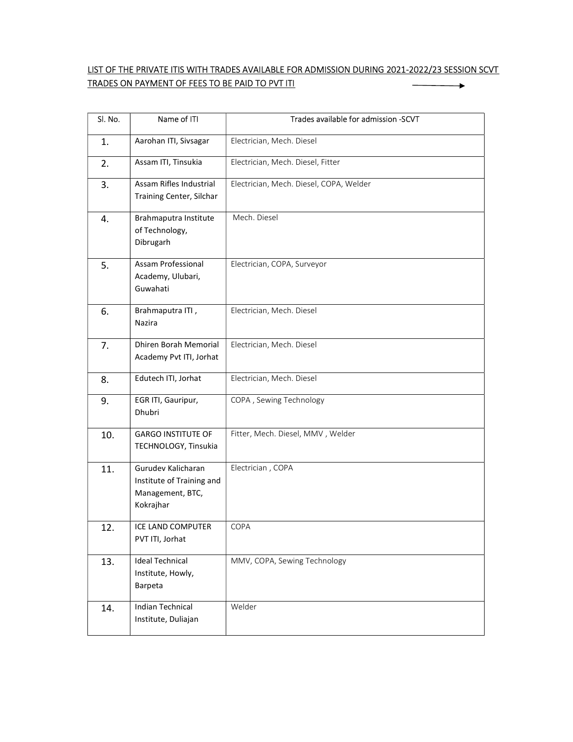## LIST OF THE PRIVATE ITIS WITH TRADES AVAILABLE FOR ADMISSION DURING 2021-2022/23 SESSION SCVT TRADES ON PAYMENT OF FEES TO BE PAID TO PVT ITI  $\overbrace{\hspace{4.5cm}}^{ \hspace{4.3cm} \longrightarrow \hspace{4.2cm}}$

| Sl. No. | Name of ITI                                                                      | Trades available for admission -SCVT    |
|---------|----------------------------------------------------------------------------------|-----------------------------------------|
| 1.      | Aarohan ITI, Sivsagar                                                            | Electrician, Mech. Diesel               |
| 2.      | Assam ITI, Tinsukia                                                              | Electrician, Mech. Diesel, Fitter       |
| 3.      | Assam Rifles Industrial<br>Training Center, Silchar                              | Electrician, Mech. Diesel, COPA, Welder |
| 4.      | Brahmaputra Institute<br>of Technology,<br>Dibrugarh                             | Mech. Diesel                            |
| 5.      | Assam Professional<br>Academy, Ulubari,<br>Guwahati                              | Electrician, COPA, Surveyor             |
| 6.      | Brahmaputra ITI,<br>Nazira                                                       | Electrician, Mech. Diesel               |
| 7.      | Dhiren Borah Memorial<br>Academy Pvt ITI, Jorhat                                 | Electrician, Mech. Diesel               |
| 8.      | Edutech ITI, Jorhat                                                              | Electrician, Mech. Diesel               |
| 9.      | EGR ITI, Gauripur,<br>Dhubri                                                     | COPA, Sewing Technology                 |
| 10.     | <b>GARGO INSTITUTE OF</b><br>TECHNOLOGY, Tinsukia                                | Fitter, Mech. Diesel, MMV, Welder       |
| 11.     | Gurudev Kalicharan<br>Institute of Training and<br>Management, BTC,<br>Kokrajhar | Electrician, COPA                       |
| 12.     | ICE LAND COMPUTER<br>PVT ITI, Jorhat                                             | <b>COPA</b>                             |
| 13.     | <b>Ideal Technical</b><br>Institute, Howly,<br>Barpeta                           | MMV, COPA, Sewing Technology            |
| 14.     | <b>Indian Technical</b><br>Institute, Duliajan                                   | Welder                                  |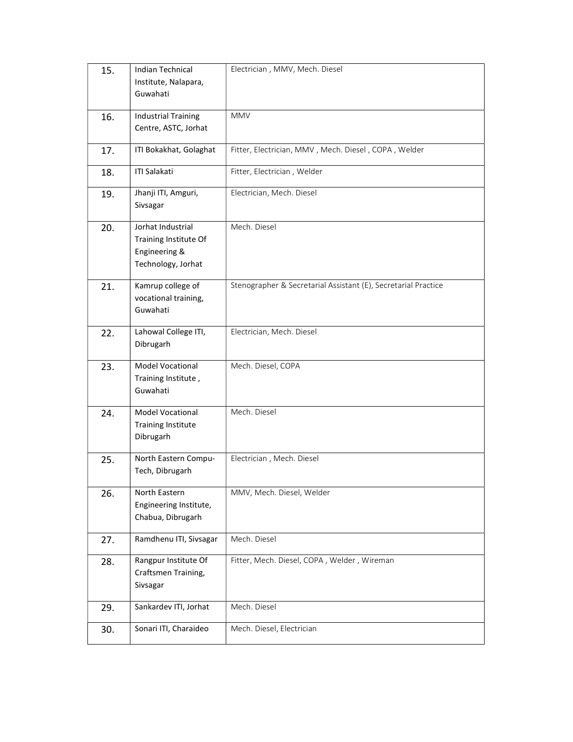| 15. | <b>Indian Technical</b>                                                           | Electrician, MMV, Mech. Diesel                                 |
|-----|-----------------------------------------------------------------------------------|----------------------------------------------------------------|
|     | Institute, Nalapara,<br>Guwahati                                                  |                                                                |
|     | <b>Industrial Training</b>                                                        | <b>MMV</b>                                                     |
| 16. | Centre, ASTC, Jorhat                                                              |                                                                |
| 17. | ITI Bokakhat, Golaghat                                                            | Fitter, Electrician, MMV, Mech. Diesel, COPA, Welder           |
| 18. | <b>ITI Salakati</b>                                                               | Fitter, Electrician, Welder                                    |
| 19. | Jhanji ITI, Amguri,<br>Sivsagar                                                   | Electrician, Mech. Diesel                                      |
| 20. | Jorhat Industrial<br>Training Institute Of<br>Engineering &<br>Technology, Jorhat | Mech. Diesel                                                   |
| 21. | Kamrup college of<br>vocational training,<br>Guwahati                             | Stenographer & Secretarial Assistant (E), Secretarial Practice |
| 22. | Lahowal College ITI,<br>Dibrugarh                                                 | Electrician, Mech. Diesel                                      |
| 23. | Model Vocational<br>Training Institute,<br>Guwahati                               | Mech. Diesel, COPA                                             |
| 24. | Model Vocational<br><b>Training Institute</b><br>Dibrugarh                        | Mech. Diesel                                                   |
| 25. | North Eastern Compu-<br>Tech, Dibrugarh                                           | Electrician, Mech. Diesel                                      |
| 26. | North Eastern<br>Engineering Institute,<br>Chabua, Dibrugarh                      | MMV, Mech. Diesel, Welder                                      |
| 27. | Ramdhenu ITI, Sivsagar                                                            | Mech. Diesel                                                   |
| 28. | Rangpur Institute Of<br>Craftsmen Training,<br>Sivsagar                           | Fitter, Mech. Diesel, COPA, Welder, Wireman                    |
| 29. | Sankardev ITI, Jorhat                                                             | Mech. Diesel                                                   |
| 30. | Sonari ITI, Charaideo                                                             | Mech. Diesel, Electrician                                      |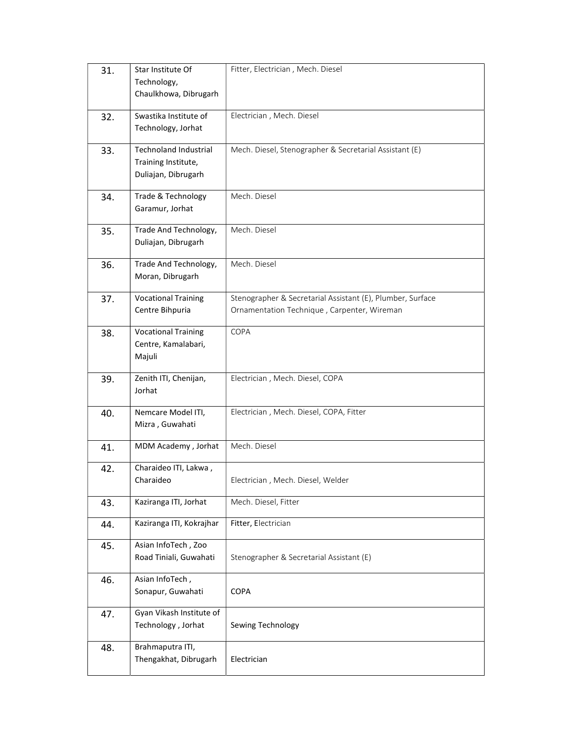| 31. | Star Institute Of<br>Technology,<br>Chaulkhowa, Dibrugarh                  | Fitter, Electrician, Mech. Diesel                                                                         |
|-----|----------------------------------------------------------------------------|-----------------------------------------------------------------------------------------------------------|
| 32. | Swastika Institute of<br>Technology, Jorhat                                | Electrician, Mech. Diesel                                                                                 |
| 33. | <b>Technoland Industrial</b><br>Training Institute,<br>Duliajan, Dibrugarh | Mech. Diesel, Stenographer & Secretarial Assistant (E)                                                    |
| 34. | Trade & Technology<br>Garamur, Jorhat                                      | Mech. Diesel                                                                                              |
| 35. | Trade And Technology,<br>Duliajan, Dibrugarh                               | Mech. Diesel                                                                                              |
| 36. | Trade And Technology,<br>Moran, Dibrugarh                                  | Mech. Diesel                                                                                              |
| 37. | <b>Vocational Training</b><br>Centre Bihpuria                              | Stenographer & Secretarial Assistant (E), Plumber, Surface<br>Ornamentation Technique, Carpenter, Wireman |
| 38. | <b>Vocational Training</b><br>Centre, Kamalabari,<br>Majuli                | COPA                                                                                                      |
| 39. | Zenith ITI, Chenijan,<br>Jorhat                                            | Electrician, Mech. Diesel, COPA                                                                           |
| 40. | Nemcare Model ITI,<br>Mizra, Guwahati                                      | Electrician, Mech. Diesel, COPA, Fitter                                                                   |
| 41. | MDM Academy, Jorhat                                                        | Mech. Diesel                                                                                              |
| 42. | Charaideo ITI, Lakwa,<br>Charaideo                                         | Electrician, Mech. Diesel, Welder                                                                         |
| 43. | Kaziranga ITI, Jorhat                                                      | Mech. Diesel, Fitter                                                                                      |
| 44. | Kaziranga ITI, Kokrajhar                                                   | Fitter, Electrician                                                                                       |
| 45. | Asian InfoTech, Zoo<br>Road Tiniali, Guwahati                              | Stenographer & Secretarial Assistant (E)                                                                  |
| 46. | Asian InfoTech,<br>Sonapur, Guwahati                                       | <b>COPA</b>                                                                                               |
| 47. | Gyan Vikash Institute of<br>Technology, Jorhat                             | Sewing Technology                                                                                         |
| 48. | Brahmaputra ITI,<br>Thengakhat, Dibrugarh                                  | Electrician                                                                                               |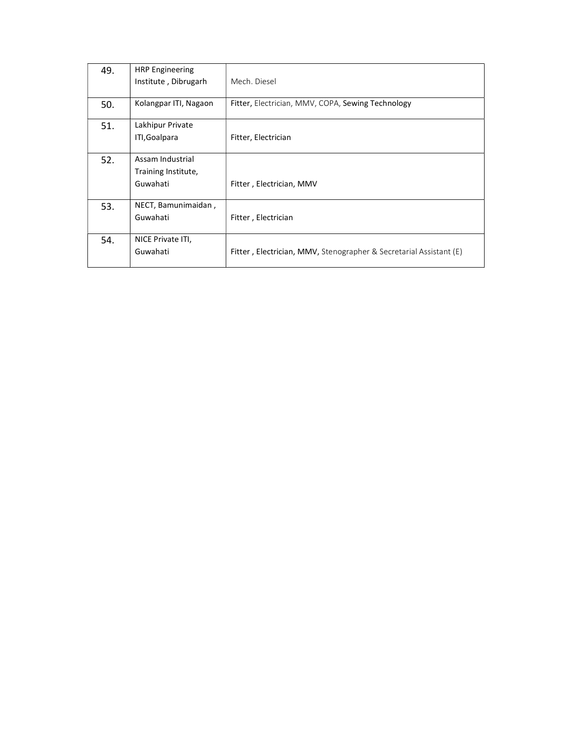| 49. | <b>HRP Engineering</b><br>Institute, Dibrugarh      | Mech. Diesel                                                       |
|-----|-----------------------------------------------------|--------------------------------------------------------------------|
| 50. | Kolangpar ITI, Nagaon                               | Fitter, Electrician, MMV, COPA, Sewing Technology                  |
| 51. | Lakhipur Private<br>ITI, Goalpara                   | Fitter, Electrician                                                |
| 52. | Assam Industrial<br>Training Institute,<br>Guwahati | Fitter, Electrician, MMV                                           |
| 53. | NECT, Bamunimaidan,<br>Guwahati                     | Fitter, Electrician                                                |
| 54. | NICE Private ITI,<br>Guwahati                       | Fitter, Electrician, MMV, Stenographer & Secretarial Assistant (E) |